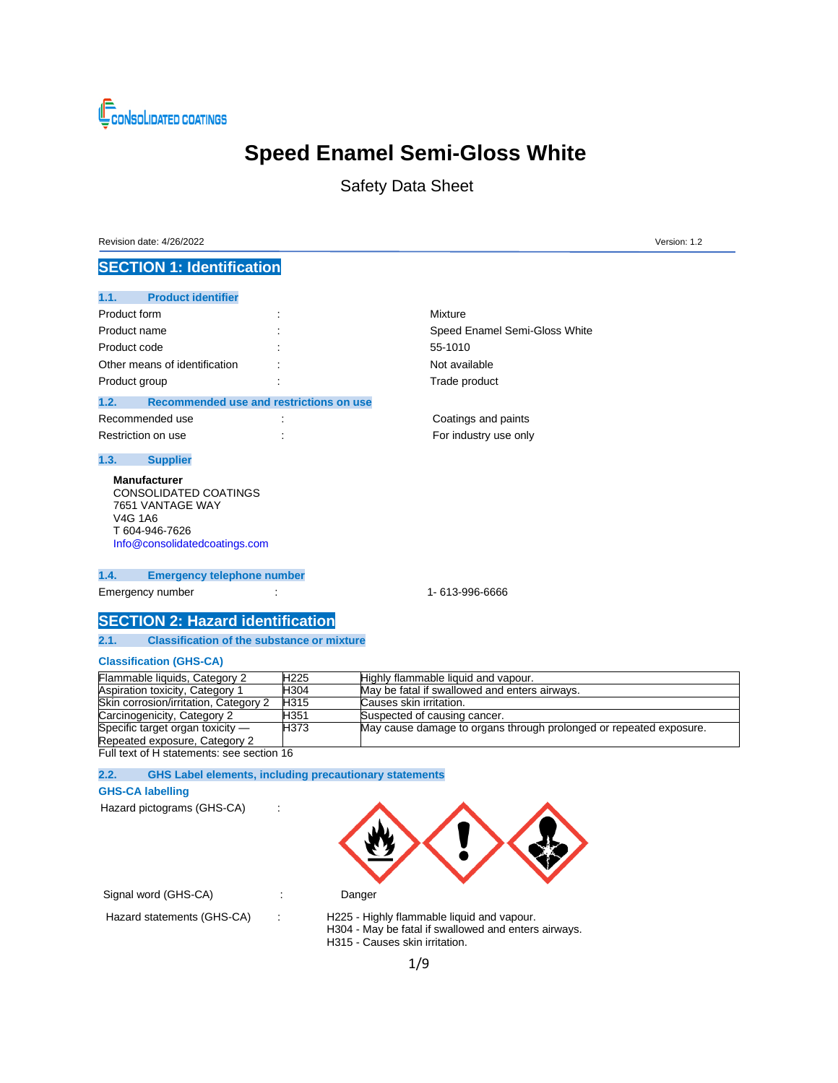

# **Speed Enamel Semi-Gloss White**

Safety Data Sheet

Revision date: 4/26/2022 Version: 1.2

## **SECTION 1: Identification**

### **1.1. Product identifier**

| Product form                  | ٠ | Mixture |
|-------------------------------|---|---------|
| Product name                  |   | Speed   |
| Product code                  | ٠ | 55-101  |
| Other means of identification |   | Not ava |
| Product group                 |   | Trade p |
|                               |   |         |

### **1.2. Recommended use and restrictions on use**

| Recommended use    | ٠ |
|--------------------|---|
| Restriction on use | ۰ |

### **1.3. Supplier**

**Manufacturer** CONSOLIDATED COATINGS 7651 VANTAGE WAY V4G 1A6 T 604-946-7626 [Info@consolidatedcoatings.com](mailto:Info@consolidatedcoatings.com)

### **1.4. Emergency telephone number**

Emergency number : 1-613-996-6666

Speed Enamel Semi-Gloss White

55-1010 Not available Trade product

Coatings and paints For industry use only

## **SECTION 2: Hazard identification**

**2.1. Classification of the substance or mixture**

### **Classification (GHS-CA)**

| Flammable liquids, Category 2         | H <sub>225</sub> | Highly flammable liquid and vapour.                                |
|---------------------------------------|------------------|--------------------------------------------------------------------|
| Aspiration toxicity, Category 1       | H304             | May be fatal if swallowed and enters airways.                      |
| Skin corrosion/irritation, Category 2 | H315             | Causes skin irritation.                                            |
| Carcinogenicity, Category 2           | H351             | Suspected of causing cancer.                                       |
| Specific target organ toxicity $-$    | H373             | May cause damage to organs through prolonged or repeated exposure. |
| Repeated exposure, Category 2         |                  |                                                                    |

Full text of H statements: see section 16

**2.2. GHS Label elements, including precautionary statements**

#### **GHS-CA labelling**

Hazard pictograms (GHS-CA) :



|  |  | Signal word (GHS-CA) |
|--|--|----------------------|
|--|--|----------------------|

Hazard statements (GHS-CA) : H225 - Highly flammable liquid and vapour. H304 - May be fatal if swallowed and enters airways. H315 - Causes skin irritation.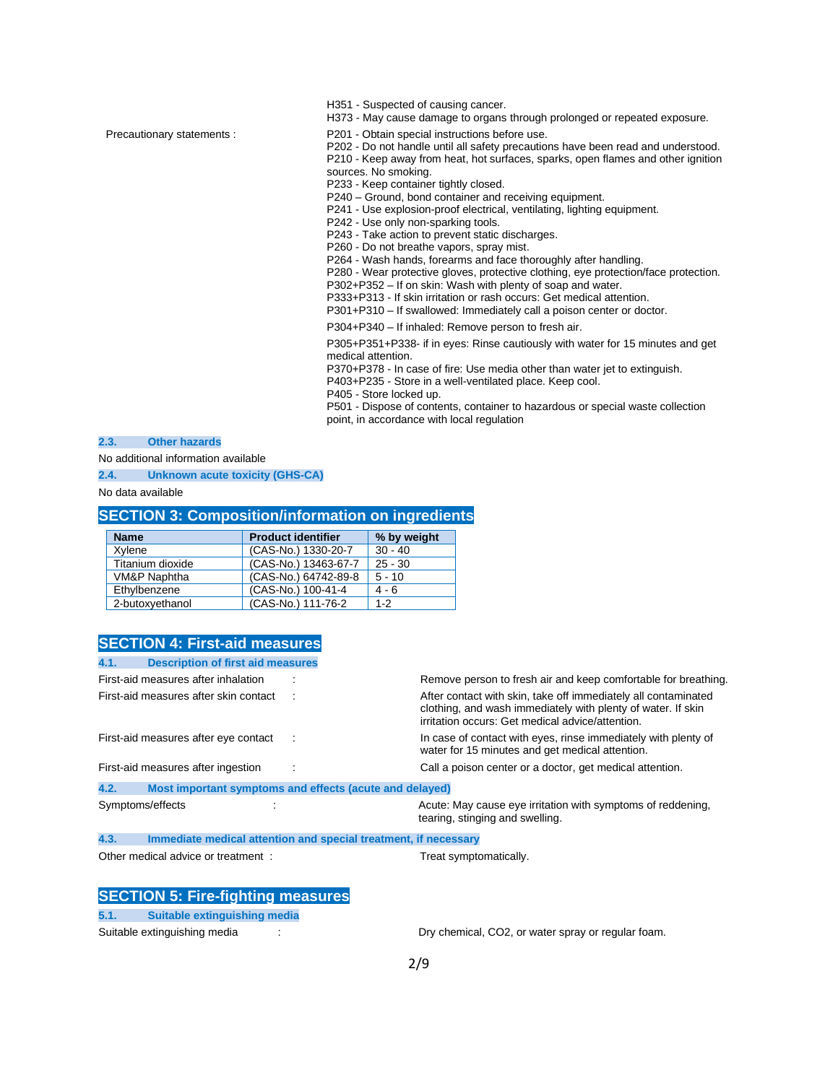H351 - Suspected of causing cancer. H373 - May cause damage to organs through prolonged or repeated exposure.

Precautionary statements : P201 - Obtain special instructions before use.

P202 - Do not handle until all safety precautions have been read and understood. P210 - Keep away from heat, hot surfaces, sparks, open flames and other ignition sources. No smoking.

P233 - Keep container tightly closed.

P240 – Ground, bond container and receiving equipment.

P241 - Use explosion-proof electrical, ventilating, lighting equipment.

P242 - Use only non-sparking tools.

P243 - Take action to prevent static discharges.

P260 - Do not breathe vapors, spray mist.

P264 - Wash hands, forearms and face thoroughly after handling.

P280 - Wear protective gloves, protective clothing, eye protection/face protection.

P302+P352 – If on skin: Wash with plenty of soap and water.

P333+P313 - If skin irritation or rash occurs: Get medical attention. P301+P310 – If swallowed: Immediately call a poison center or doctor.

P304+P340 – If inhaled: Remove person to fresh air.

P305+P351+P338- if in eyes: Rinse cautiously with water for 15 minutes and get medical attention.

P370+P378 - In case of fire: Use media other than water jet to extinguish.

P403+P235 - Store in a well-ventilated place. Keep cool.

P405 - Store locked up.

P501 - Dispose of contents, container to hazardous or special waste collection point, in accordance with local regulation

**2.3. Other hazards**

No additional information available

**2.4. Unknown acute toxicity (GHS-CA)**

No data available

## **SECTION 3: Composition/information on ingredients**

| <b>Name</b>      | <b>Product identifier</b> | % by weight |
|------------------|---------------------------|-------------|
| Xylene           | (CAS-No.) 1330-20-7       | $30 - 40$   |
| Titanium dioxide | (CAS-No.) 13463-67-7      | $25 - 30$   |
| VM&P Naphtha     | (CAS-No.) 64742-89-8      | $5 - 10$    |
| Ethylbenzene     | (CAS-No.) 100-41-4        | $4 - 6$     |
| 2-butoxyethanol  | (CAS-No.) 111-76-2        | $1 - 2$     |

### **SECTION 4: First-aid measures**

| 4.1.             | <b>Description of first aid measures</b>                        |                                                                                                                                                                                    |
|------------------|-----------------------------------------------------------------|------------------------------------------------------------------------------------------------------------------------------------------------------------------------------------|
|                  | First-aid measures after inhalation                             | Remove person to fresh air and keep comfortable for breathing.                                                                                                                     |
|                  | First-aid measures after skin contact                           | After contact with skin, take off immediately all contaminated<br>clothing, and wash immediately with plenty of water. If skin<br>irritation occurs: Get medical advice/attention. |
|                  | First-aid measures after eye contact                            | In case of contact with eyes, rinse immediately with plenty of<br>water for 15 minutes and get medical attention.                                                                  |
|                  | First-aid measures after ingestion                              | Call a poison center or a doctor, get medical attention.                                                                                                                           |
| 4.2.             | Most important symptoms and effects (acute and delayed)         |                                                                                                                                                                                    |
| Symptoms/effects |                                                                 | Acute: May cause eye irritation with symptoms of reddening.<br>tearing, stinging and swelling.                                                                                     |
| 4.3.             | Immediate medical attention and special treatment, if necessary |                                                                                                                                                                                    |
|                  | Other medical advice or treatment:                              | Treat symptomatically.                                                                                                                                                             |

**SECTION 5: Fire-fighting measures**

**5.1. Suitable extinguishing media**

Suitable extinguishing media : The Suitable extinguishing media : Dry chemical, CO2, or water spray or regular foam.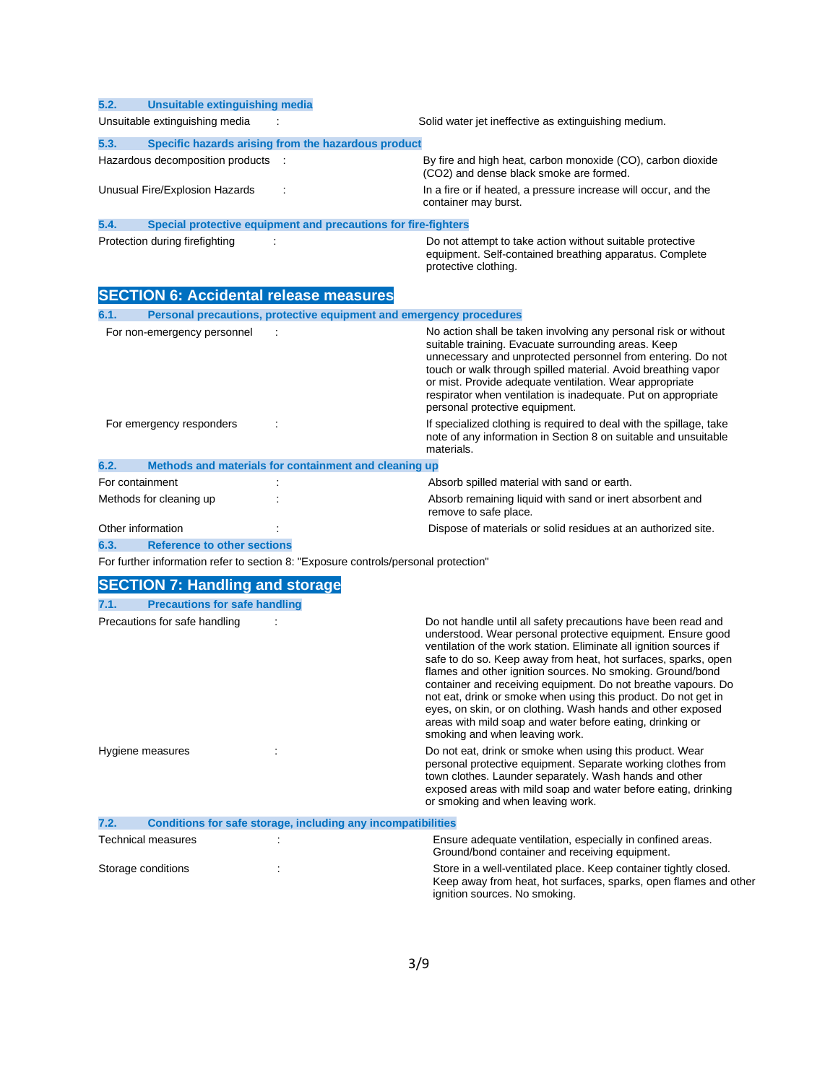### **5.2. Unsuitable extinguishing media**

Unsuitable extinguishing media : Solid water jet ineffective as extinguishing medium.

### **5.3. Specific hazards arising from the hazardous product**

Hazardous decomposition products : By fire and high heat, carbon monoxide (CO), carbon dioxide (CO2) and dense black smoke are formed.

Unusual Fire/Explosion Hazards : In a fire or if heated, a pressure increase will occur, and the container may burst.

### **5.4. Special protective equipment and precautions for fire-fighters**

Protection during firefighting  $\cdot$  :  $\cdot$  Do not attempt to take action without suitable protective equipment. Self-contained breathing apparatus. Complete protective clothing.

Keep away from heat, hot surfaces, sparks, open flames and other

ignition sources. No smoking.

## **SECTION 6: Accidental release measures**

| 6.1.                    |                             | Personal precautions, protective equipment and emergency procedures |                                                                                                                                                                                                                                                                                                                                                                                                                      |
|-------------------------|-----------------------------|---------------------------------------------------------------------|----------------------------------------------------------------------------------------------------------------------------------------------------------------------------------------------------------------------------------------------------------------------------------------------------------------------------------------------------------------------------------------------------------------------|
|                         | For non-emergency personnel |                                                                     | No action shall be taken involving any personal risk or without<br>suitable training. Evacuate surrounding areas. Keep<br>unnecessary and unprotected personnel from entering. Do not<br>touch or walk through spilled material. Avoid breathing vapor<br>or mist. Provide adequate ventilation. Wear appropriate<br>respirator when ventilation is inadequate. Put on appropriate<br>personal protective equipment. |
|                         | For emergency responders    |                                                                     | If specialized clothing is required to deal with the spillage, take<br>note of any information in Section 8 on suitable and unsuitable<br>materials.                                                                                                                                                                                                                                                                 |
| 6.2.                    |                             | Methods and materials for containment and cleaning up               |                                                                                                                                                                                                                                                                                                                                                                                                                      |
| For containment         |                             |                                                                     | Absorb spilled material with sand or earth.                                                                                                                                                                                                                                                                                                                                                                          |
| Methods for cleaning up |                             |                                                                     | Absorb remaining liquid with sand or inert absorbent and<br>remove to safe place.                                                                                                                                                                                                                                                                                                                                    |
| Other information       |                             |                                                                     | Dispose of materials or solid residues at an authorized site.                                                                                                                                                                                                                                                                                                                                                        |

**6.3. Reference to other sections**

For further information refer to section 8: "Exposure controls/personal protection"

## **SECTION 7: Handling and storage**

| 7.1.                          | <b>Precautions for safe handling</b> |                                                              |                                                                                                                                                                                                                                                                                                                                                                                                                                                                                                                                                                                                                                     |  |
|-------------------------------|--------------------------------------|--------------------------------------------------------------|-------------------------------------------------------------------------------------------------------------------------------------------------------------------------------------------------------------------------------------------------------------------------------------------------------------------------------------------------------------------------------------------------------------------------------------------------------------------------------------------------------------------------------------------------------------------------------------------------------------------------------------|--|
| Precautions for safe handling |                                      |                                                              | Do not handle until all safety precautions have been read and<br>understood. Wear personal protective equipment. Ensure good<br>ventilation of the work station. Eliminate all ignition sources if<br>safe to do so. Keep away from heat, hot surfaces, sparks, open<br>flames and other ignition sources. No smoking. Ground/bond<br>container and receiving equipment. Do not breathe vapours. Do<br>not eat, drink or smoke when using this product. Do not get in<br>eyes, on skin, or on clothing. Wash hands and other exposed<br>areas with mild soap and water before eating, drinking or<br>smoking and when leaving work. |  |
|                               | Hygiene measures                     |                                                              | Do not eat, drink or smoke when using this product. Wear<br>personal protective equipment. Separate working clothes from<br>town clothes. Launder separately. Wash hands and other<br>exposed areas with mild soap and water before eating, drinking<br>or smoking and when leaving work.                                                                                                                                                                                                                                                                                                                                           |  |
| 7.2.                          |                                      | Conditions for safe storage, including any incompatibilities |                                                                                                                                                                                                                                                                                                                                                                                                                                                                                                                                                                                                                                     |  |
|                               | Technical measures                   |                                                              | Ensure adequate ventilation, especially in confined areas.<br>Ground/bond container and receiving equipment.                                                                                                                                                                                                                                                                                                                                                                                                                                                                                                                        |  |
|                               | Storage conditions                   |                                                              | Store in a well-ventilated place. Keep container tightly closed.                                                                                                                                                                                                                                                                                                                                                                                                                                                                                                                                                                    |  |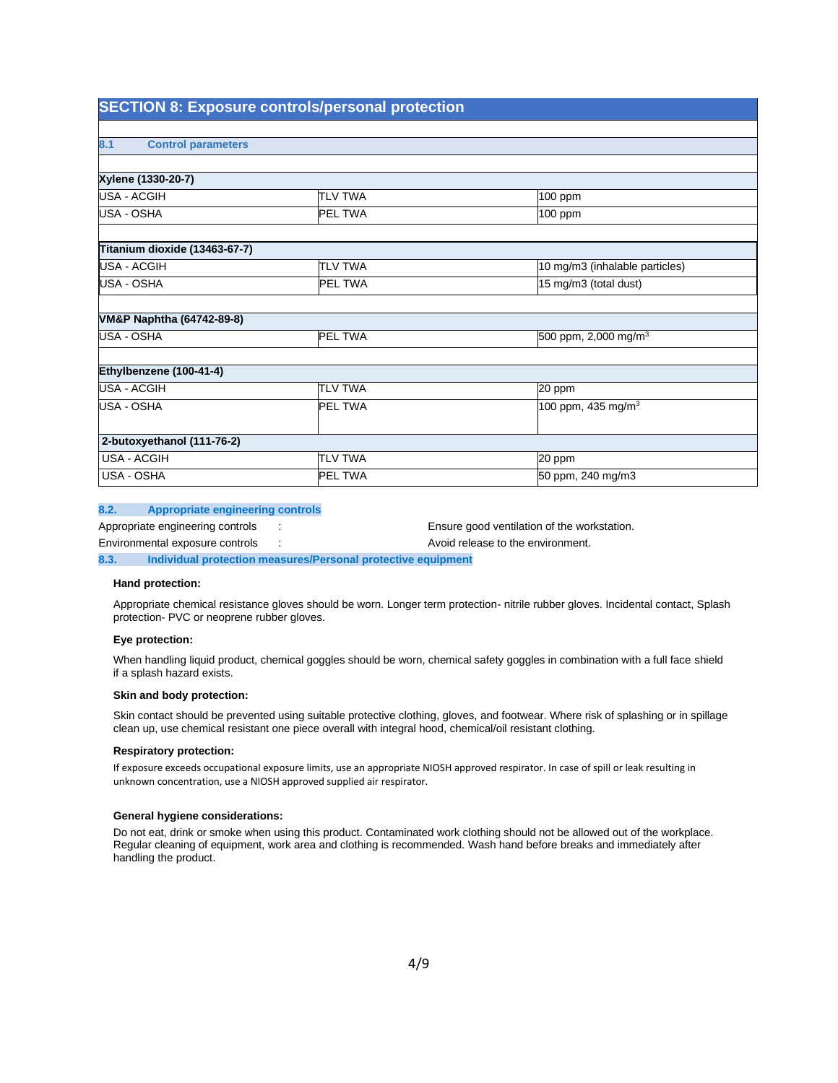## **SECTION 8: Exposure controls/personal protection**

| 8.1<br><b>Control parameters</b>     |                |                                  |
|--------------------------------------|----------------|----------------------------------|
|                                      |                |                                  |
| Xylene (1330-20-7)                   |                |                                  |
| USA - ACGIH                          | <b>TLV TWA</b> | 100 ppm                          |
| USA - OSHA                           | <b>PEL TWA</b> | 100 ppm                          |
|                                      |                |                                  |
| Titanium dioxide (13463-67-7)        |                |                                  |
| <b>USA - ACGIH</b>                   | <b>TLV TWA</b> | 10 mg/m3 (inhalable particles)   |
| USA - OSHA                           | <b>PEL TWA</b> | 15 mg/m3 (total dust)            |
|                                      |                |                                  |
| <b>VM&amp;P Naphtha (64742-89-8)</b> |                |                                  |
| USA - OSHA                           | <b>PEL TWA</b> | 500 ppm, 2,000 mg/m <sup>3</sup> |
|                                      |                |                                  |
| Ethylbenzene (100-41-4)              |                |                                  |
| USA - ACGIH                          | <b>TLV TWA</b> | 20 ppm                           |
| USA - OSHA                           | <b>PEL TWA</b> | 100 ppm, 435 mg/m <sup>3</sup>   |
|                                      |                |                                  |
| 2-butoxyethanol (111-76-2)           |                |                                  |
| USA - ACGIH                          | <b>TLV TWA</b> | 20 ppm                           |
| <b>USA - OSHA</b>                    | <b>PEL TWA</b> | 50 ppm, 240 mg/m3                |

#### **8.2. Appropriate engineering controls**

Appropriate engineering controls : Ensure good ventilation of the workstation.

Environmental exposure controls : Avoid release to the environment.

**8.3. Individual protection measures/Personal protective equipment**

#### **Hand protection:**

Appropriate chemical resistance gloves should be worn. Longer term protection- nitrile rubber gloves. Incidental contact, Splash protection- PVC or neoprene rubber gloves.

### **Eye protection:**

When handling liquid product, chemical goggles should be worn, chemical safety goggles in combination with a full face shield if a splash hazard exists.

#### **Skin and body protection:**

Skin contact should be prevented using suitable protective clothing, gloves, and footwear. Where risk of splashing or in spillage clean up, use chemical resistant one piece overall with integral hood, chemical/oil resistant clothing.

#### **Respiratory protection:**

If exposure exceeds occupational exposure limits, use an appropriate NIOSH approved respirator. In case of spill or leak resulting in unknown concentration, use a NIOSH approved supplied air respirator.

#### **General hygiene considerations:**

Do not eat, drink or smoke when using this product. Contaminated work clothing should not be allowed out of the workplace. Regular cleaning of equipment, work area and clothing is recommended. Wash hand before breaks and immediately after handling the product.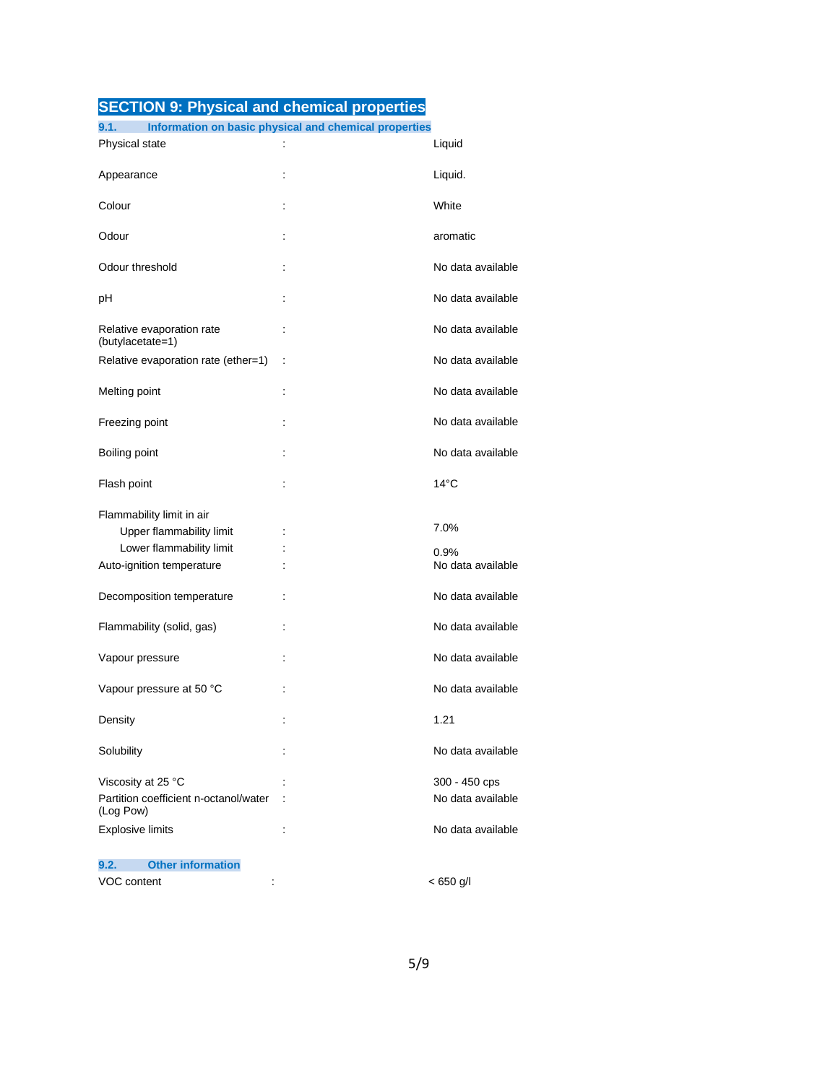## **SECTION 9: Physical and chemical properties**

| 9.1.                                               | Information on basic physical and chemical properties |                           |
|----------------------------------------------------|-------------------------------------------------------|---------------------------|
| Physical state                                     | $\ddot{\phantom{a}}$                                  | Liquid                    |
| Appearance                                         | t                                                     | Liquid.                   |
| Colour                                             | ÷                                                     | White                     |
| Odour                                              |                                                       | aromatic                  |
| Odour threshold                                    |                                                       | No data available         |
| рH                                                 | t                                                     | No data available         |
| Relative evaporation rate<br>(butylacetate=1)      | t                                                     | No data available         |
| Relative evaporation rate (ether=1)                | ÷                                                     | No data available         |
| Melting point                                      | t                                                     | No data available         |
| Freezing point                                     | ÷                                                     | No data available         |
| Boiling point                                      | t                                                     | No data available         |
| Flash point                                        |                                                       | $14^{\circ}$ C            |
| Flammability limit in air                          |                                                       |                           |
| Upper flammability limit                           |                                                       | 7.0%                      |
| Lower flammability limit                           |                                                       |                           |
| Auto-ignition temperature                          |                                                       | 0.9%<br>No data available |
| Decomposition temperature                          |                                                       | No data available         |
| Flammability (solid, gas)                          | t                                                     | No data available         |
| Vapour pressure                                    |                                                       | No data available         |
| Vapour pressure at 50 °C                           |                                                       | No data available         |
| Density                                            |                                                       | 1.21                      |
| Solubility                                         |                                                       | No data available         |
| Viscosity at 25 °C                                 |                                                       | 300 - 450 cps             |
| Partition coefficient n-octanol/water<br>(Log Pow) |                                                       | No data available         |
| <b>Explosive limits</b>                            | $\ddot{\phantom{a}}$                                  | No data available         |
| <b>Other information</b><br>9.2.                   |                                                       |                           |
| VOC content                                        |                                                       | $< 650$ g/l               |
|                                                    |                                                       |                           |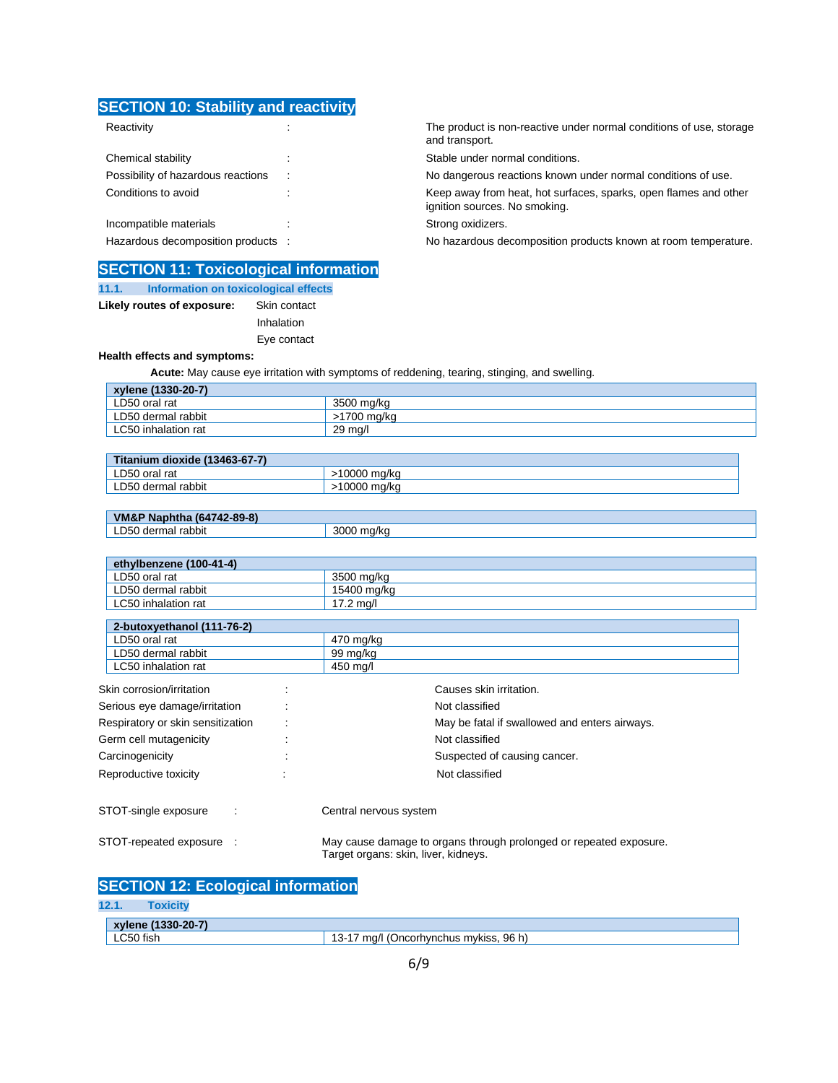## **SECTION 10: Stability and reactivity**

| Chemical stability                 | ٠ |
|------------------------------------|---|
| Possibility of hazardous reactions |   |
| Conditions to avoid                |   |
|                                    |   |
| Incompatible materials             |   |

## **SECTION 11: Toxicological information**

| 11.1. | Information on toxicological effects |              |  |
|-------|--------------------------------------|--------------|--|
|       | Likely routes of exposure:           | Skin contact |  |
|       |                                      | Inhalation   |  |
|       |                                      | Eye contact  |  |

**Health effects and symptoms:**

 **Acute:** May cause eye irritation with symptoms of reddening, tearing, stinging, and swelling.

| xylene (1330-20-7)  |             |
|---------------------|-------------|
| LD50 oral rat       | 3500 mg/kg  |
| LD50 dermal rabbit  | >1700 ma/ka |
| LC50 inhalation rat | 29 ma/l     |

| <b>STEAM</b><br>dioxide (13463-67-7)<br>anium |             |
|-----------------------------------------------|-------------|
| LD50 oral rat                                 | 0000 ma/ka  |
| LD50 dermal rabbit                            | 10000 mg/kg |

| Naphtha (64742-89-8)<br>VM&P |       |
|------------------------------|-------|
| LD50 dermal                  | 3000  |
| rabbit                       | ma/ka |

| ethylbenzene (100-41-4)    |             |  |
|----------------------------|-------------|--|
| LD50 oral rat              | 3500 mg/kg  |  |
| LD50 dermal rabbit         | 15400 mg/kg |  |
| LC50 inhalation rat        | 17.2 ma/l   |  |
|                            |             |  |
| 2-butoxyethanol (111-76-2) |             |  |

| LD50 oral rat                     | 470 mg/kg                            |                                                                    |  |
|-----------------------------------|--------------------------------------|--------------------------------------------------------------------|--|
| LD50 dermal rabbit                | 99 mg/kg                             |                                                                    |  |
| LC50 inhalation rat               | 450 mg/l                             |                                                                    |  |
| Skin corrosion/irritation         |                                      | Causes skin irritation.                                            |  |
| Serious eye damage/irritation     |                                      | Not classified                                                     |  |
| Respiratory or skin sensitization |                                      | May be fatal if swallowed and enters airways.                      |  |
| Germ cell mutagenicity            |                                      | Not classified                                                     |  |
| Carcinogenicity                   |                                      | Suspected of causing cancer.                                       |  |
| Reproductive toxicity             |                                      | Not classified                                                     |  |
| STOT-single exposure              | Central nervous system               |                                                                    |  |
| STOT-repeated exposure :          | Target organs: skin, liver, kidneys. | May cause damage to organs through prolonged or repeated exposure. |  |

| <b>SECTION 12: Ecological information</b> |
|-------------------------------------------|
|-------------------------------------------|

### **12.1. Toxicity**

| $(1330 - 20 - 7)$<br>xviene |                                                    |
|-----------------------------|----------------------------------------------------|
| LC50 fish                   | 96 h<br>ma/l<br>(Oncorhvnchus mvkiss. '<br>--<br>U |

Reactivity **Reactivity** : The product is non-reactive under normal conditions of use, storage and transport.

Stable under normal conditions.

No dangerous reactions known under normal conditions of use.

Keep away from heat, hot surfaces, sparks, open flames and other ignition sources. No smoking.

Strong oxidizers.

Hazardous decomposition products : No hazardous decomposition products known at room temperature.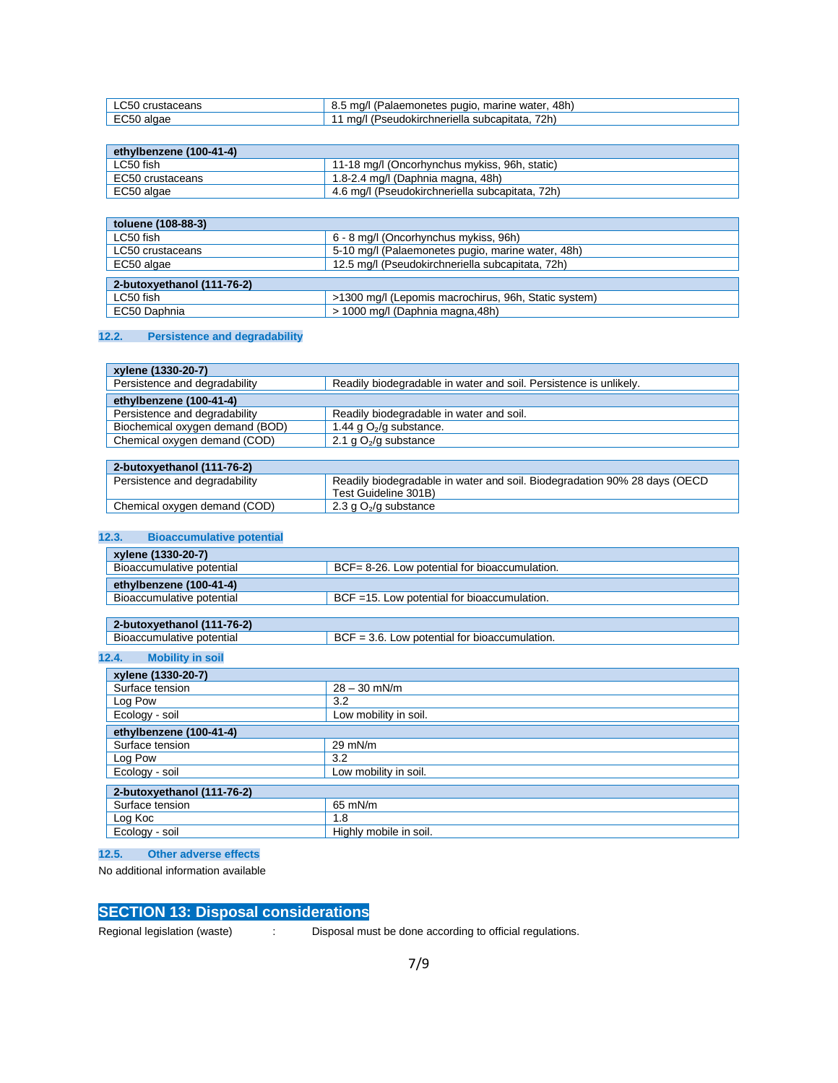| $\sim$ $\sim$ $\sim$<br>∖crustaceans<br>ור., ו | 48h.<br>marine<br>ma/<br>: water<br>(Palaemonetes<br>pugio<br>∪.∪ |
|------------------------------------------------|-------------------------------------------------------------------|
| algae<br>-cou                                  | 72h)<br>ma/l<br>'seudokirchneriella<br>subcapitata                |

| ethylbenzene (100-41-4) |                                                 |
|-------------------------|-------------------------------------------------|
| ∟C50 fish               | 11-18 mg/l (Oncorhynchus mykiss, 96h, static)   |
| EC50 crustaceans        | 1.8-2.4 mg/l (Daphnia magna, 48h)               |
| EC50 algae              | 4.6 mg/l (Pseudokirchneriella subcapitata, 72h) |

| toluene (108-88-3)         |                                                      |  |
|----------------------------|------------------------------------------------------|--|
| LC50 fish                  | 6 - 8 mg/l (Oncorhynchus mykiss, 96h)                |  |
| LC50 crustaceans           | 5-10 mg/l (Palaemonetes pugio, marine water, 48h)    |  |
| EC50 algae                 | 12.5 mg/l (Pseudokirchneriella subcapitata, 72h)     |  |
| 2-butoxyethanol (111-76-2) |                                                      |  |
| LC50 fish                  | >1300 mg/l (Lepomis macrochirus, 96h, Static system) |  |
| EC50 Daphnia               | > 1000 mg/l (Daphnia magna, 48h)                     |  |

## **12.2. Persistence and degradability**

| xylene (1330-20-7)              |                                                                   |
|---------------------------------|-------------------------------------------------------------------|
| Persistence and degradability   | Readily biodegradable in water and soil. Persistence is unlikely. |
| ethylbenzene (100-41-4)         |                                                                   |
| Persistence and degradability   | Readily biodegradable in water and soil.                          |
| Biochemical oxygen demand (BOD) | 1.44 g $O2/g$ substance.                                          |
| Chemical oxygen demand (COD)    | 2.1 g $O2/g$ substance                                            |

| 2-butoxvethanol (111-76-2)    |                                                                                                    |
|-------------------------------|----------------------------------------------------------------------------------------------------|
| Persistence and degradability | Readily biodegradable in water and soil. Biodegradation 90% 28 days (OECD)<br>Test Guideline 301B) |
| Chemical oxygen demand (COD)  | 2.3 g $O_2$ /g substance                                                                           |

## **12.3. Bioaccumulative potential**

| $\sqrt{2}$ xylene (1330-20-7) |                                                 |
|-------------------------------|-------------------------------------------------|
| Bioaccumulative potential     | BCF= 8-26. Low potential for bioaccumulation.   |
| ethylbenzene (100-41-4)       |                                                 |
| Bioaccumulative potential     | $BCF = 15$ . Low potential for bioaccumulation. |
|                               |                                                 |

| 1-76-2)<br>2-butoxvethanol                                   |                                                                        |  |
|--------------------------------------------------------------|------------------------------------------------------------------------|--|
| $\mathbf{r}$<br>potential<br><b>Bioaccum</b><br>. nulative * | Jn.<br>· bioaccumulation.<br>potential for<br>LOW<br>კ. ს.<br>ושם<br>- |  |

### **12.4. Mobility in soil**

п

| xylene (1330-20-7)         |                        |  |
|----------------------------|------------------------|--|
| Surface tension            | $28 - 30$ mN/m         |  |
| Log Pow                    | 3.2                    |  |
| Ecology - soil             | Low mobility in soil.  |  |
| ethylbenzene (100-41-4)    |                        |  |
| Surface tension            | $29$ mN/m              |  |
| Log Pow                    | 3.2                    |  |
| Ecology - soil             | Low mobility in soil.  |  |
| 2-butoxyethanol (111-76-2) |                        |  |
|                            |                        |  |
| Surface tension            | 65 mN/m                |  |
| Log Koc                    | 1.8                    |  |
| Ecology - soil             | Highly mobile in soil. |  |

### **12.5. Other adverse effects**

No additional information available

## **SECTION 13: Disposal considerations**

Regional legislation (waste) : Disposal must be done according to official regulations.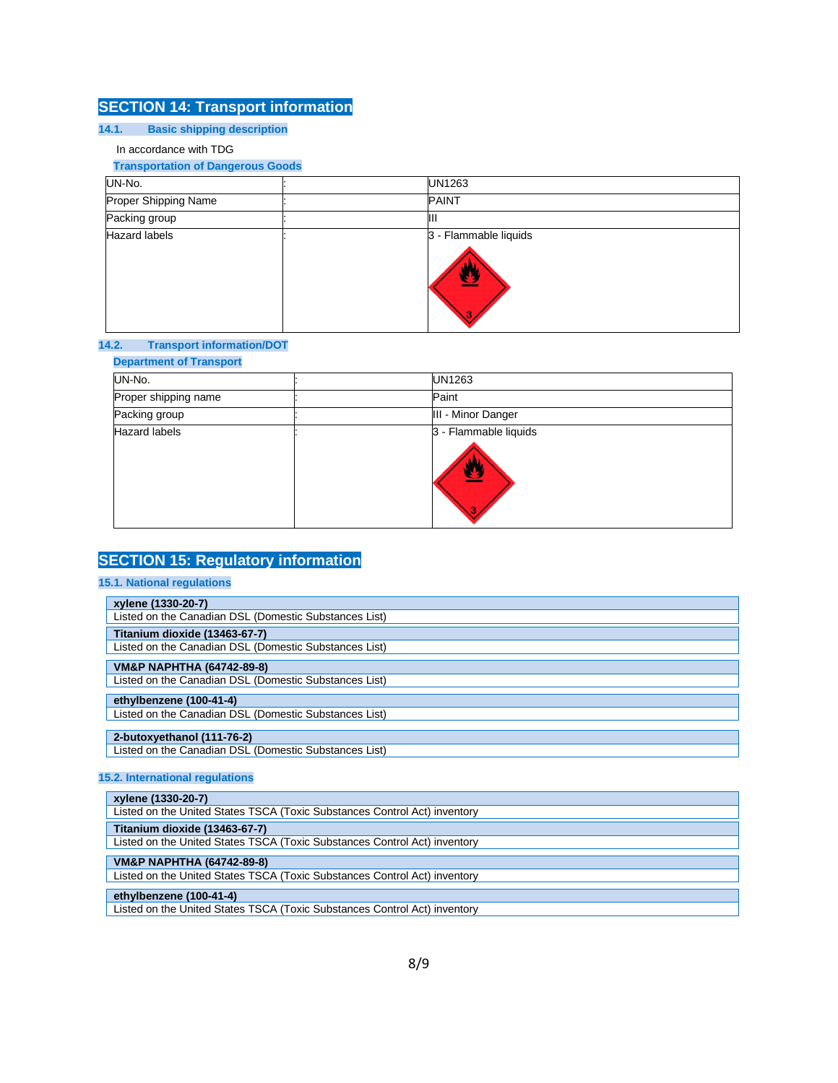## **SECTION 14: Transport information**

## **14.1. Basic shipping description**

### In accordance with TDG

### **Transportation of Dangerous Goods**

| UN-No.               | UN1263                          |
|----------------------|---------------------------------|
| Proper Shipping Name | <b>PAINT</b>                    |
| Packing group        | ШI                              |
| <b>Hazard labels</b> | 3 - Flammable liquids<br>≌<br>3 |

### **14.2. Transport information/DOT**

# **Department of Transport**  UN-No. : UN1263 Proper shipping name  $\qquad \qquad :$ Packing group **in the contract of the Contract of Contract of the Contract of Times and Times and Times and Times and Times and Times and Times and Times and Times and Times and Times and Times and Times and Times and Time** Hazard labels **in the set of the set of the set of the set of the set of the set of the set of the set of the set of the set of the set of the set of the set of the set of the set of the set of the set of the set of the se** W

## **SECTION 15: Regulatory information**

### **15.1. National regulations**

| xylene (1330-20-7)                                    |
|-------------------------------------------------------|
| Listed on the Canadian DSL (Domestic Substances List) |
| Titanium dioxide (13463-67-7)                         |
| Listed on the Canadian DSL (Domestic Substances List) |
| <b>VM&amp;P NAPHTHA (64742-89-8)</b>                  |
|                                                       |
| Listed on the Canadian DSL (Domestic Substances List) |
| ethylbenzene (100-41-4)                               |
| Listed on the Canadian DSL (Domestic Substances List) |
|                                                       |
| 2-butoxyethanol (111-76-2)                            |
| Listed on the Canadian DSL (Domestic Substances List) |

### **15.2. International regulations**

| xylene (1330-20-7)                                                        |  |
|---------------------------------------------------------------------------|--|
| Listed on the United States TSCA (Toxic Substances Control Act) inventory |  |
| Titanium dioxide (13463-67-7)                                             |  |
| Listed on the United States TSCA (Toxic Substances Control Act) inventory |  |
| <b>VM&amp;P NAPHTHA (64742-89-8)</b>                                      |  |
|                                                                           |  |
|                                                                           |  |
| Listed on the United States TSCA (Toxic Substances Control Act) inventory |  |
|                                                                           |  |
| ethylbenzene (100-41-4)                                                   |  |